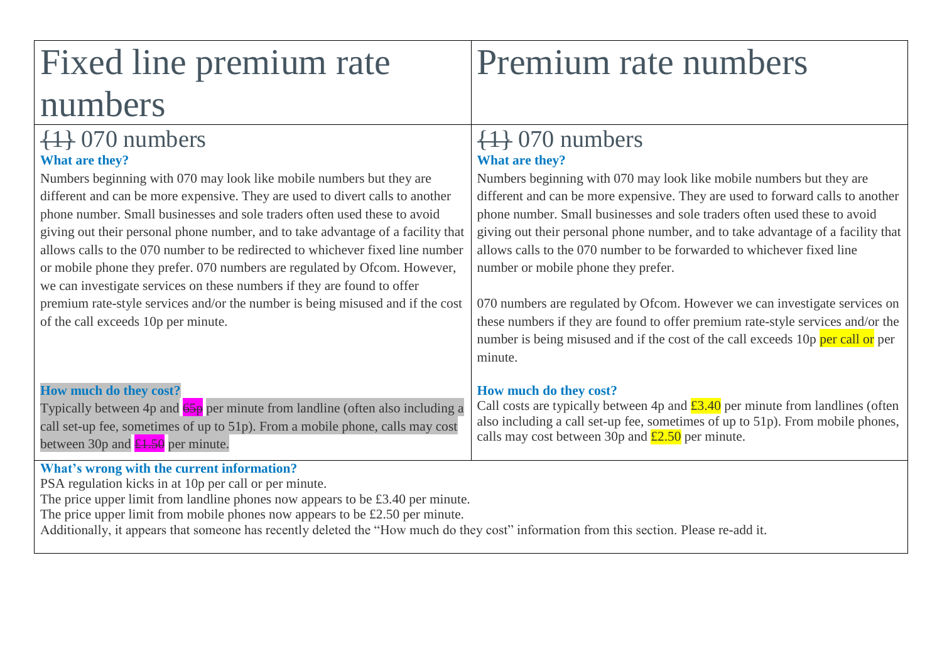# Fixed line premium rate numbers

# {1} 070 numbers **What are they?**

Numbers beginning with 070 may look like mobile numbers but they are different and can be more expensive. They are used to divert calls to another phone number. Small businesses and sole traders often used these to avoid giving out their personal phone number, and to take advantage of a facility that allows calls to the 070 number to be redirected to whichever fixed line number or mobile phone they prefer. 070 numbers are regulated by Ofcom. However, we can investigate services on these numbers if they are found to offer premium rate-style services and/or the number is being misused and if the cost of the call exceeds 10p per minute.

# {1} 070 numbers **What are they?**

Numbers beginning with 070 may look like mobile numbers but they are different and can be more expensive. They are used to forward calls to another phone number. Small businesses and sole traders often used these to avoid giving out their personal phone number, and to take advantage of a facility that allows calls to the 070 number to be forwarded to whichever fixed line number or mobile phone they prefer.

Premium rate numbers

070 numbers are regulated by Ofcom. However we can investigate services on these numbers if they are found to offer premium rate-style services and/or the number is being misused and if the cost of the call exceeds 10p per call or per minute.

## **How much do they cost?**

Call costs are typically between 4p and  $\pounds3.40$  per minute from landlines (often also including a call set-up fee, sometimes of up to 51p). From mobile phones, calls may cost between 30p and  $\text{\pounds}2.50$  per minute.

# **How much do they cost?**

Typically between 4p and 65p per minute from landline (often also including a call set-up fee, sometimes of up to 51p). From a mobile phone, calls may cost between 30p and  $\angle 1.50$  per minute.

## **What's wrong with the current information?**

PSA regulation kicks in at 10p per call or per minute.

The price upper limit from landline phones now appears to be £3.40 per minute.

The price upper limit from mobile phones now appears to be £2.50 per minute.

Additionally, it appears that someone has recently deleted the "How much do they cost" information from this section. Please re-add it.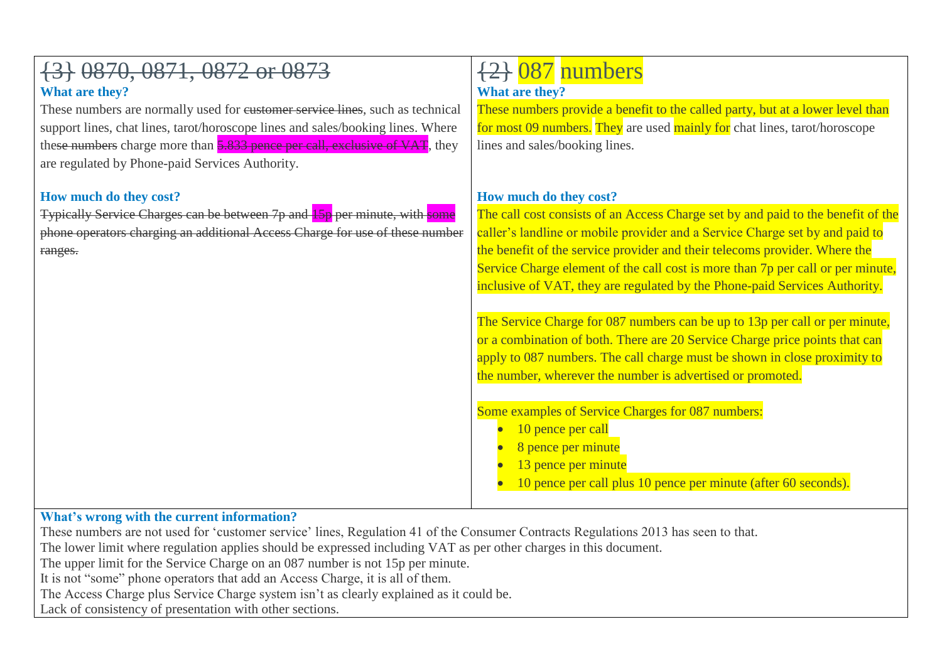| {3} 0870, 0871, 0872 or 0873<br>What are they?<br>These numbers are normally used for eustomer service lines, such as technical<br>support lines, chat lines, tarot/horoscope lines and sales/booking lines. Where<br>these numbers charge more than 5.833 pence per call, exclusive of VAT, they<br>are regulated by Phone-paid Services Authority. | $\{2\}$ 087 numbers<br><b>What are they?</b><br>These numbers provide a benefit to the called party, but at a lower level than<br>for most 09 numbers. They are used mainly for chat lines, tarot/horoscope<br>lines and sales/booking lines.                                                                                                                                                                                                                                                                                                                                                                                                                                                                                                                                                                                                                                                                                               |
|------------------------------------------------------------------------------------------------------------------------------------------------------------------------------------------------------------------------------------------------------------------------------------------------------------------------------------------------------|---------------------------------------------------------------------------------------------------------------------------------------------------------------------------------------------------------------------------------------------------------------------------------------------------------------------------------------------------------------------------------------------------------------------------------------------------------------------------------------------------------------------------------------------------------------------------------------------------------------------------------------------------------------------------------------------------------------------------------------------------------------------------------------------------------------------------------------------------------------------------------------------------------------------------------------------|
| How much do they cost?<br><b>Typically Service Charges can be between 7p and 15p per minute, with some</b><br>phone operators charging an additional Access Charge for use of these number<br>ranges.                                                                                                                                                | How much do they cost?<br>The call cost consists of an Access Charge set by and paid to the benefit of the<br>caller's landline or mobile provider and a Service Charge set by and paid to<br>the benefit of the service provider and their telecoms provider. Where the<br>Service Charge element of the call cost is more than 7p per call or per minute,<br>inclusive of VAT, they are regulated by the Phone-paid Services Authority.<br>The Service Charge for 087 numbers can be up to 13p per call or per minute,<br>or a combination of both. There are 20 Service Charge price points that can<br>apply to 087 numbers. The call charge must be shown in close proximity to<br>the number, wherever the number is advertised or promoted.<br>Some examples of Service Charges for 087 numbers:<br>10 pence per call<br>8 pence per minute<br>13 pence per minute<br>10 pence per call plus 10 pence per minute (after 60 seconds). |

#### **What's wrong with the current information?**

These numbers are not used for 'customer service' lines, Regulation 41 of the Consumer Contracts Regulations 2013 has seen to that.

The lower limit where regulation applies should be expressed including VAT as per other charges in this document.

The upper limit for the Service Charge on an 087 number is not 15p per minute.

It is not "some" phone operators that add an Access Charge, it is all of them.

The Access Charge plus Service Charge system isn't as clearly explained as it could be.

Lack of consistency of presentation with other sections.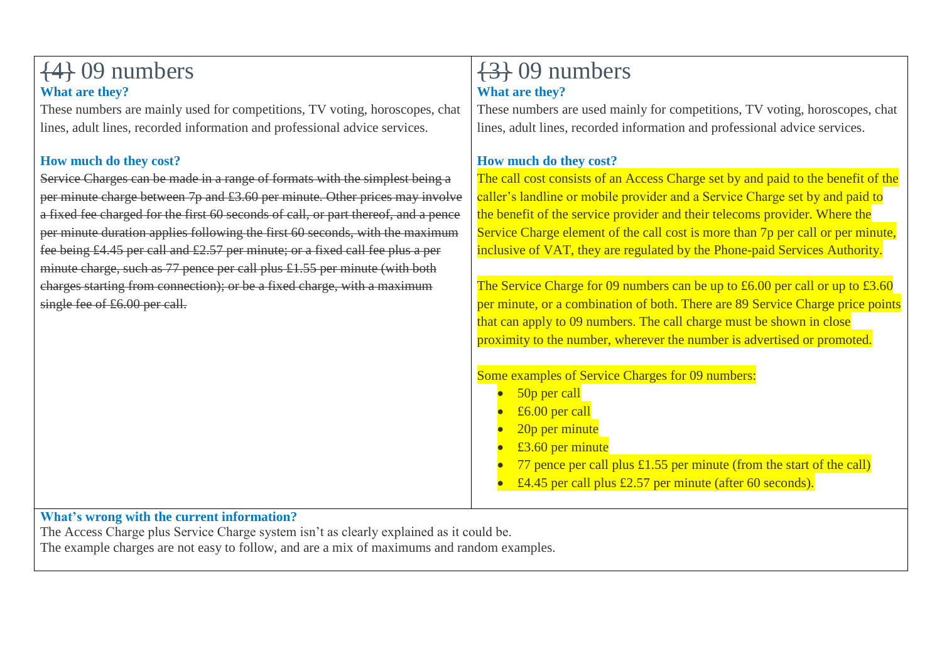#### {4} 09 numbers **What are they?** These numbers are mainly used for competitions, TV voting, horoscopes, chat lines, adult lines, recorded information and professional advice services. **How much do they cost?** Service Charges can be made in a range of formats with the simplest being a per minute charge between 7p and £3.60 per minute. Other prices may involve a fixed fee charged for the first 60 seconds of call, or part thereof, and a pence per minute duration applies following the first 60 seconds, with the maximum fee being £4.45 per call and £2.57 per minute; or a fixed call fee plus a per minute charge, such as  $77$  pence per call plus £1.55 per minute (with both charges starting from connection); or be a fixed charge, with a maximum single fee of £6.00 per call. {3} 09 numbers **What are they?** These numbers are used mainly for competitions, TV voting, horoscopes, chat lines, adult lines, recorded information and professional advice services. **How much do they cost?** The call cost consists of an Access Charge set by and paid to the benefit of the caller's landline or mobile provider and a Service Charge set by and paid to the benefit of the service provider and their telecoms provider. Where the Service Charge element of the call cost is more than 7p per call or per minute, inclusive of VAT, they are regulated by the Phone-paid Services Authority. The Service Charge for 09 numbers can be up to £6.00 per call or up to  $£3.60$ per minute, or a combination of both. There are 89 Service Charge price points that can apply to 09 numbers. The call charge must be shown in close proximity to the number, wherever the number is advertised or promoted. Some examples of Service Charges for 09 numbers: 50p per call £6.00 per call 20p per minute £3.60 per minute 77 pence per call plus £1.55 per minute (from the start of the call) £4.45 per call plus £2.57 per minute (after 60 seconds).

## **What's wrong with the current information?**

The Access Charge plus Service Charge system isn't as clearly explained as it could be. The example charges are not easy to follow, and are a mix of maximums and random examples.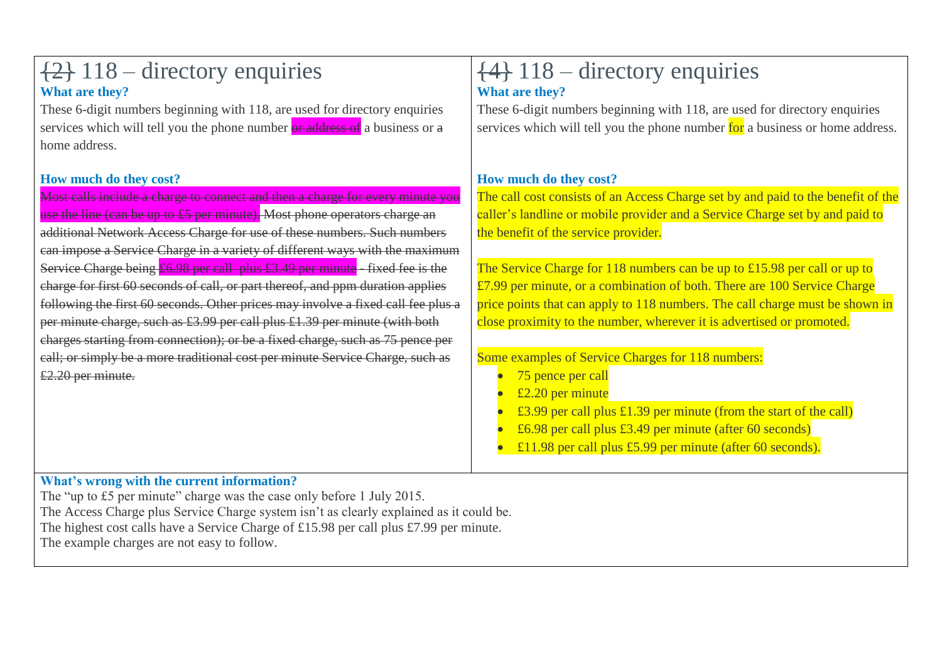# {2} 118 – directory enquiries **What are they?**

These 6-digit numbers beginning with 118, are used for directory enquiries services which will tell you the phone number or address of a business or a home address.

## **How much do they cost?**

Most calls include a charge to connect and then a charge for every minute you use the line (can be up to £5 per minute). Most phone operators charge an additional Network Access Charge for use of these numbers. Such numbers can impose a Service Charge in a variety of different ways with the maximum Service Charge being  $£6.98$  per call plus £3.49 per minute - fixed fee is the charge for first 60 seconds of call, or part thereof, and ppm duration applies following the first 60 seconds. Other prices may involve a fixed call fee plus a per minute charge, such as £3.99 per call plus £1.39 per minute (with both charges starting from connection); or be a fixed charge, such as 75 pence per call; or simply be a more traditional cost per minute Service Charge, such as £2.20 per minute.

# {4} 118 – directory enquiries **What are they?**

These 6-digit numbers beginning with 118, are used for directory enquiries services which will tell you the phone number for a business or home address.

## **How much do they cost?**

The call cost consists of an Access Charge set by and paid to the benefit of the caller's landline or mobile provider and a Service Charge set by and paid to the benefit of the service provider.

The Service Charge for 118 numbers can be up to £15.98 per call or up to £7.99 per minute, or a combination of both. There are 100 Service Charge price points that can apply to 118 numbers. The call charge must be shown in close proximity to the number, wherever it is advertised or promoted.

#### Some examples of Service Charges for 118 numbers:

- 75 pence per call
- £2.20 per minute
- £3.99 per call plus £1.39 per minute (from the start of the call)
- £6.98 per call plus £3.49 per minute (after 60 seconds)
- £11.98 per call plus £5.99 per minute (after 60 seconds).

#### **What's wrong with the current information?**

The "up to £5 per minute" charge was the case only before 1 July 2015. The Access Charge plus Service Charge system isn't as clearly explained as it could be. The highest cost calls have a Service Charge of £15.98 per call plus £7.99 per minute. The example charges are not easy to follow.